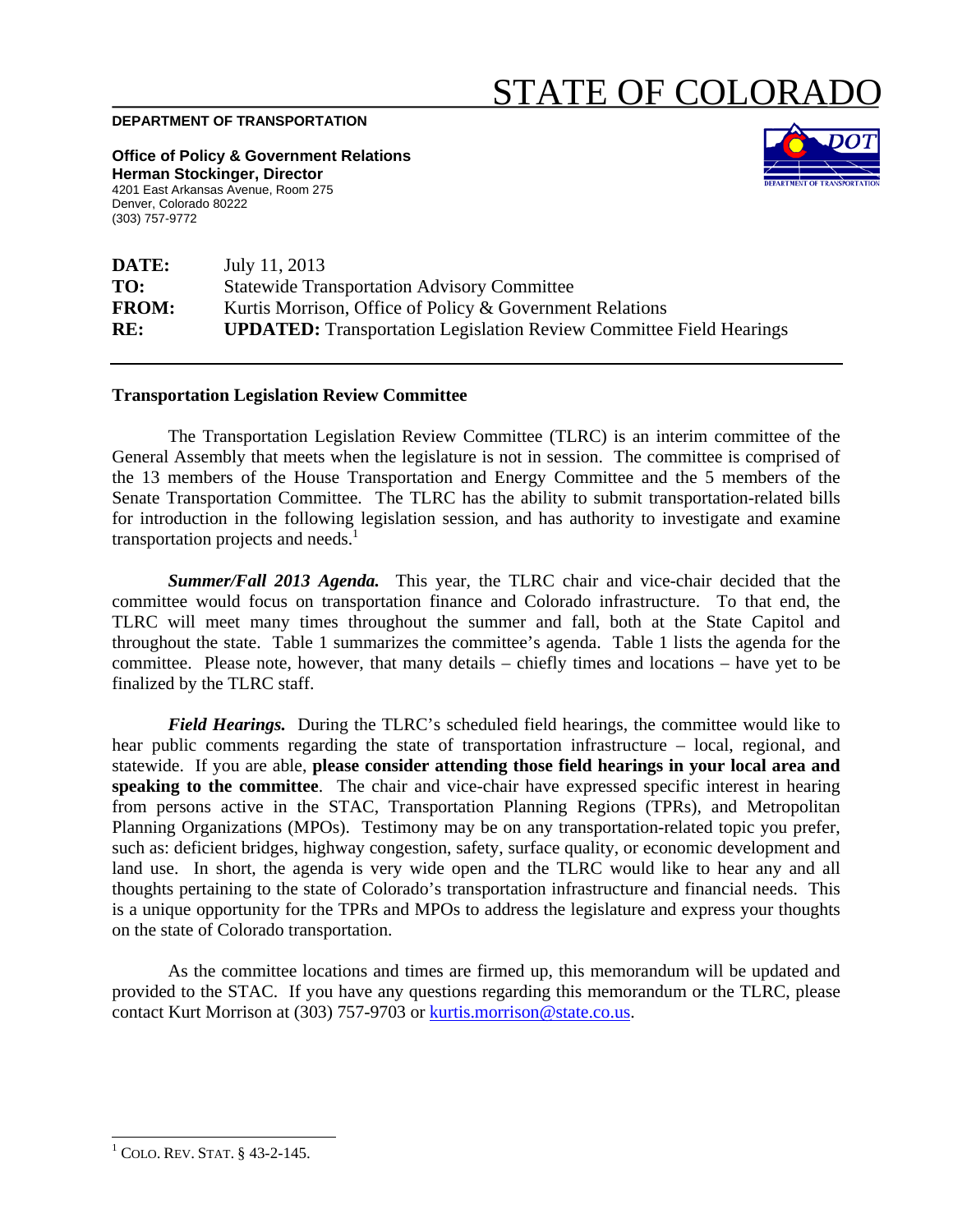## STATE OF COLORAI

## **DEPARTMENT OF TRANSPORTATION**

**Office of Policy & Government Relations Herman Stockinger, Director**  4201 East Arkansas Avenue, Room 275 Denver, Colorado 80222 (303) 757-9772



| DATE:        | July 11, 2013                                                              |
|--------------|----------------------------------------------------------------------------|
| TO:          | <b>Statewide Transportation Advisory Committee</b>                         |
| <b>FROM:</b> | Kurtis Morrison, Office of Policy & Government Relations                   |
| RE:          | <b>UPDATED:</b> Transportation Legislation Review Committee Field Hearings |

## **Transportation Legislation Review Committee**

The Transportation Legislation Review Committee (TLRC) is an interim committee of the General Assembly that meets when the legislature is not in session. The committee is comprised of the 13 members of the House Transportation and Energy Committee and the 5 members of the Senate Transportation Committee. The TLRC has the ability to submit transportation-related bills for introduction in the following legislation session, and has authority to investigate and examine transportation projects and needs.<sup>1</sup>

*Summer/Fall 2013 Agenda.* This year, the TLRC chair and vice-chair decided that the committee would focus on transportation finance and Colorado infrastructure. To that end, the TLRC will meet many times throughout the summer and fall, both at the State Capitol and throughout the state. Table 1 summarizes the committee's agenda. Table 1 lists the agenda for the committee. Please note, however, that many details – chiefly times and locations – have yet to be finalized by the TLRC staff.

 *Field Hearings.* During the TLRC's scheduled field hearings, the committee would like to hear public comments regarding the state of transportation infrastructure – local, regional, and statewide. If you are able, **please consider attending those field hearings in your local area and speaking to the committee**. The chair and vice-chair have expressed specific interest in hearing from persons active in the STAC, Transportation Planning Regions (TPRs), and Metropolitan Planning Organizations (MPOs). Testimony may be on any transportation-related topic you prefer, such as: deficient bridges, highway congestion, safety, surface quality, or economic development and land use. In short, the agenda is very wide open and the TLRC would like to hear any and all thoughts pertaining to the state of Colorado's transportation infrastructure and financial needs. This is a unique opportunity for the TPRs and MPOs to address the legislature and express your thoughts on the state of Colorado transportation.

As the committee locations and times are firmed up, this memorandum will be updated and provided to the STAC. If you have any questions regarding this memorandum or the TLRC, please contact Kurt Morrison at (303) 757-9703 or kurtis.morrison@state.co.us.

 $\overline{\phantom{a}}$  $1$  COLO. REV. STAT.  $§$  43-2-145.